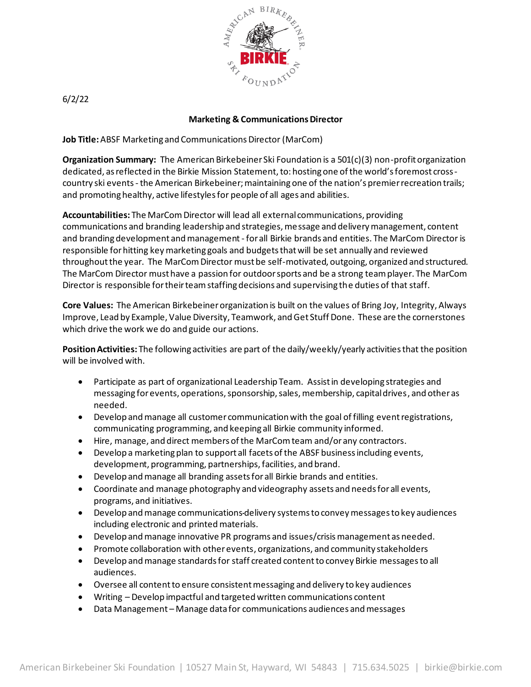

6/2/22

## **Marketing & Communications Director**

**Job Title:** ABSF Marketing and Communications Director (MarCom)

**Organization Summary:** The American Birkebeiner Ski Foundation is a 501(c)(3) non-profit organization dedicated, as reflected in the Birkie Mission Statement, to: hosting one of the world's foremost crosscountry ski events - the American Birkebeiner; maintaining one of the nation's premier recreation trails; and promoting healthy, active lifestyles for people of all ages and abilities.

**Accountabilities:** The MarCom Director will lead all external communications, providing communications and branding leadership and strategies, message and delivery management, content and branding development and management - for all Birkie brands and entities. The MarCom Director is responsible for hitting key marketing goals and budgets that will be set annually and reviewed throughout the year. The MarCom Director must be self-motivated, outgoing, organized and structured. The MarCom Director must have a passion for outdoor sports and be a strong team player. The MarCom Director is responsible for their team staffing decisions and supervising the duties of that staff.

**Core Values:** The American Birkebeiner organization is built on the values of Bring Joy, Integrity, Always Improve, Lead by Example, Value Diversity, Teamwork, and Get Stuff Done. These are the cornerstones which drive the work we do and guide our actions.

**Position Activities:** The following activities are part of the daily/weekly/yearly activities that the position will be involved with.

- Participate as part of organizational Leadership Team. Assist in developing strategies and messaging for events, operations, sponsorship, sales, membership, capital drives, and other as needed.
- Develop and manage all customer communication with the goal of filling event registrations, communicating programming, and keeping all Birkie community informed.
- Hire, manage, and direct members of the MarCom team and/or any contractors.
- Develop a marketing plan to support all facets of the ABSF business including events, development, programming, partnerships, facilities, and brand.
- Develop and manage all branding assets for all Birkie brands and entities.
- Coordinate and manage photography and videography assets and needs for all events, programs, and initiatives.
- Develop and manage communications delivery systems to convey messages to key audiences including electronic and printed materials.
- Develop and manage innovative PR programs and issues/crisis management as needed.
- Promote collaboration with other events, organizations, and community stakeholders
- Develop and manage standards for staff created content to convey Birkie messages to all audiences.
- Oversee all content to ensure consistent messaging and delivery to key audiences
- Writing Develop impactful and targeted written communications content
- Data Management Manage data for communications audiences and messages